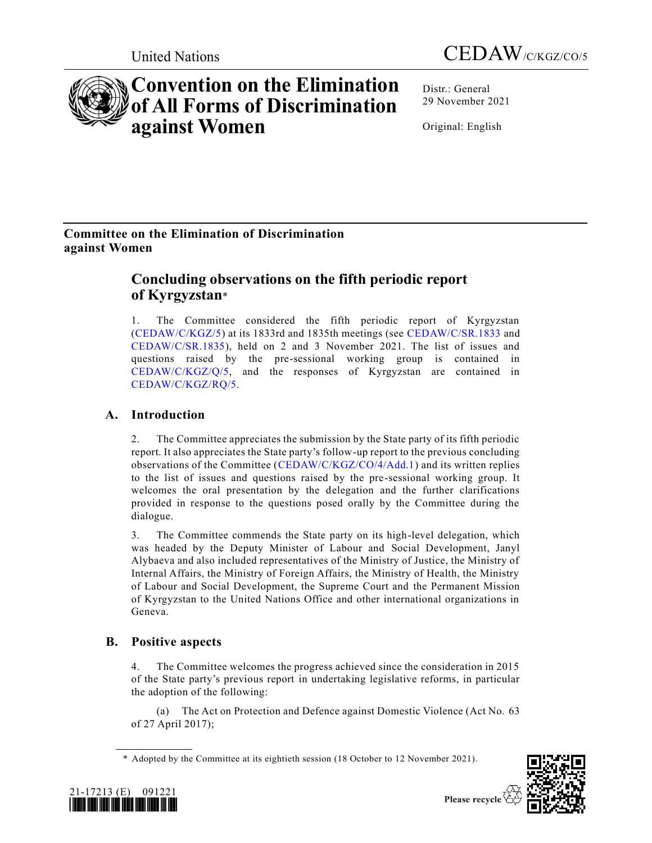



# **Convention on the Elimination of All Forms of Discrimination against Women**

Distr.: General 29 November 2021

Original: English

# **Committee on the Elimination of Discrimination against Women**

# **Concluding observations on the fifth periodic report of Kyrgyzstan**\*

1. The Committee considered the fifth periodic report of Kyrgyzstan [\(CEDAW/C/KGZ/5\)](https://undocs.org/en/CEDAW/C/KGZ/5) at its 1833rd and 1835th meetings (see [CEDAW/C/SR.1833](https://undocs.org/en/CEDAW/C/SR.1833) and [CEDAW/C/SR.1835\)](https://undocs.org/en/CEDAW/C/SR.1835), held on 2 and 3 November 2021. The list of issues and questions raised by the pre-sessional working group is contained in [CEDAW/C/KGZ/Q/5,](https://undocs.org/en/CEDAW/C/KGZ/Q/5) and the responses of Kyrgyzstan are contained in [CEDAW/C/KGZ/RQ/5.](https://undocs.org/en/CEDAW/C/KGZ/RQ/5)

## **A. Introduction**

2. The Committee appreciates the submission by the State party of its fifth periodic report. It also appreciates the State party's follow-up report to the previous concluding observations of the Committee [\(CEDAW/C/KGZ/CO/4/Add.1\)](https://undocs.org/en/CEDAW/C/KGZ/CO/4/Add.1) and its written replies to the list of issues and questions raised by the pre-sessional working group. It welcomes the oral presentation by the delegation and the further clarifications provided in response to the questions posed orally by the Committee during the dialogue.

3. The Committee commends the State party on its high-level delegation, which was headed by the Deputy Minister of Labour and Social Development, Janyl Alybaeva and also included representatives of the Ministry of Justice, the Ministry of Internal Affairs, the Ministry of Foreign Affairs, the Ministry of Health, the Ministry of Labour and Social Development, the Supreme Court and the Permanent Mission of Kyrgyzstan to the United Nations Office and other international organizations in Geneva.

### **B. Positive aspects**

The Committee welcomes the progress achieved since the consideration in 2015 of the State party's previous report in undertaking legislative reforms, in particular the adoption of the following:

(a) The Act on Protection and Defence against Domestic Violence (Act No. 63 of 27 April 2017);

<sup>\*</sup> Adopted by the Committee at its eightieth session (18 October to 12 November 2021).



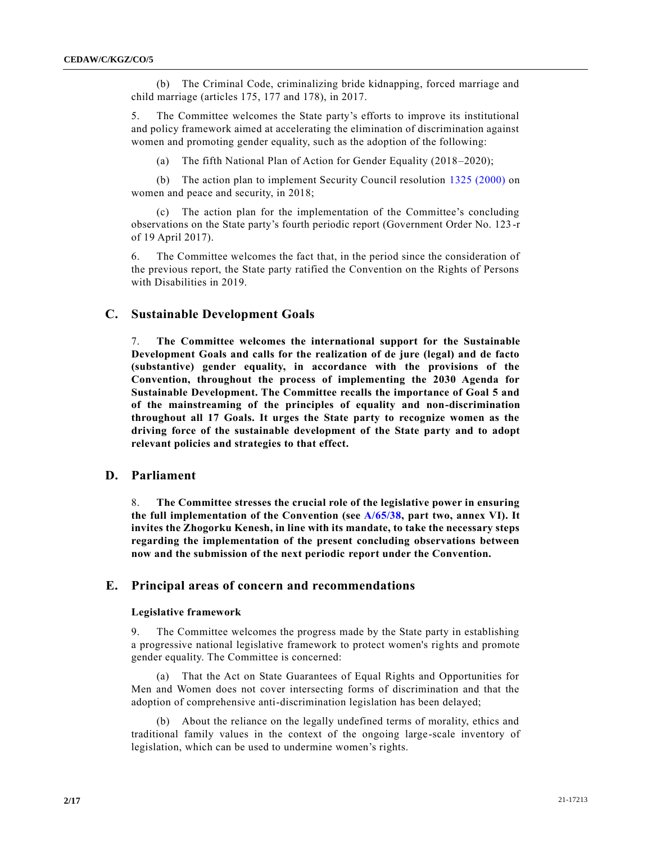(b) The Criminal Code, criminalizing bride kidnapping, forced marriage and child marriage (articles 175, 177 and 178), in 2017.

5. The Committee welcomes the State party's efforts to improve its institutional and policy framework aimed at accelerating the elimination of discrimination against women and promoting gender equality, such as the adoption of the following:

(a) The fifth National Plan of Action for Gender Equality (2018–2020);

(b) The action plan to implement Security Council resolution [1325 \(2000\)](https://undocs.org/en/S/RES/1325(2000)) on women and peace and security, in 2018;

(c) The action plan for the implementation of the Committee's concluding observations on the State party's fourth periodic report (Government Order No. 123 -r of 19 April 2017).

6. The Committee welcomes the fact that, in the period since the consideration of the previous report, the State party ratified the Convention on the Rights of Persons with Disabilities in 2019.

### **C. Sustainable Development Goals**

7. **The Committee welcomes the international support for the Sustainable Development Goals and calls for the realization of de jure (legal) and de facto (substantive) gender equality, in accordance with the provisions of the Convention, throughout the process of implementing the 2030 Agenda for Sustainable Development. The Committee recalls the importance of Goal 5 and of the mainstreaming of the principles of equality and non-discrimination throughout all 17 Goals. It urges the State party to recognize women as the driving force of the sustainable development of the State party and to adopt relevant policies and strategies to that effect.**

### **D. Parliament**

8. **The Committee stresses the crucial role of the legislative power in ensuring the full implementation of the Convention (see [A/65/38,](https://undocs.org/en/A/65/38(Supp)) part two, annex VI). It invites the Zhogorku Kenesh, in line with its mandate, to take the necessary steps regarding the implementation of the present concluding observations between now and the submission of the next periodic report under the Convention.**

### **E. Principal areas of concern and recommendations**

#### **Legislative framework**

9. The Committee welcomes the progress made by the State party in establishing a progressive national legislative framework to protect women's rights and promote gender equality. The Committee is concerned:

(a) That the Act on State Guarantees of Equal Rights and Opportunities for Men and Women does not cover intersecting forms of discrimination and that the adoption of comprehensive anti-discrimination legislation has been delayed;

(b) About the reliance on the legally undefined terms of morality, ethics and traditional family values in the context of the ongoing large-scale inventory of legislation, which can be used to undermine women's rights.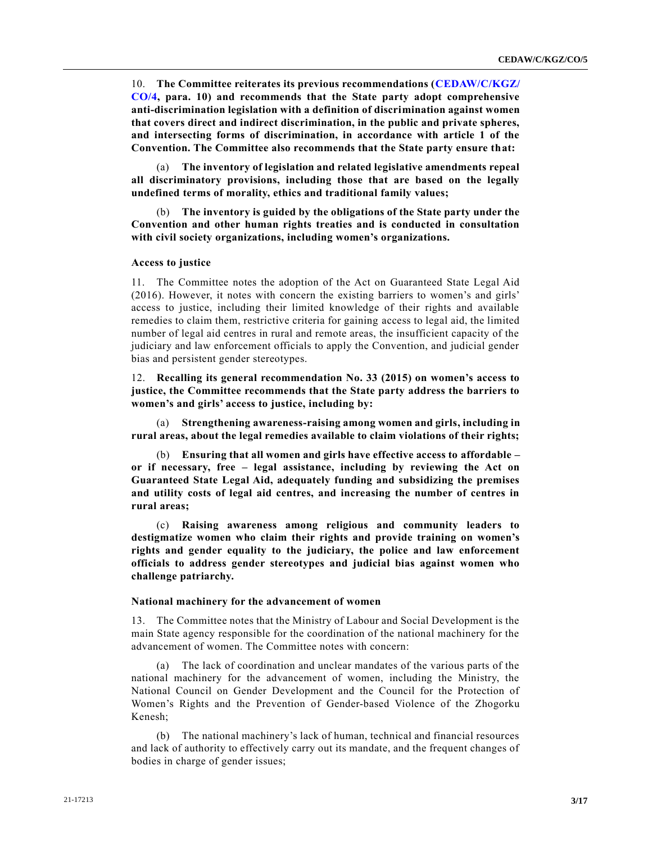10. **The Committee reiterates its previous recommendations [\(CEDAW/C/KGZ/](https://undocs.org/en/CEDAW/C/KGZ/CO/4) [CO/4,](https://undocs.org/en/CEDAW/C/KGZ/CO/4) para. 10) and recommends that the State party adopt comprehensive anti-discrimination legislation with a definition of discrimination against women that covers direct and indirect discrimination, in the public and private spheres, and intersecting forms of discrimination, in accordance with article 1 of the Convention. The Committee also recommends that the State party ensure that:**

(a) **The inventory of legislation and related legislative amendments repeal all discriminatory provisions, including those that are based on the legally undefined terms of morality, ethics and traditional family values;**

(b) **The inventory is guided by the obligations of the State party under the Convention and other human rights treaties and is conducted in consultation with civil society organizations, including women's organizations.**

#### **Access to justice**

11. The Committee notes the adoption of the Act on Guaranteed State Legal Aid (2016). However, it notes with concern the existing barriers to women's and girls' access to justice, including their limited knowledge of their rights and available remedies to claim them, restrictive criteria for gaining access to legal aid, the limited number of legal aid centres in rural and remote areas, the insufficient capacity of the judiciary and law enforcement officials to apply the Convention, and judicial gender bias and persistent gender stereotypes.

12. **Recalling its general recommendation No. 33 (2015) on women's access to justice, the Committee recommends that the State party address the barriers to women's and girls' access to justice, including by:**

(a) **Strengthening awareness-raising among women and girls, including in rural areas, about the legal remedies available to claim violations of their rights;**

(b) **Ensuring that all women and girls have effective access to affordable – or if necessary, free – legal assistance, including by reviewing the Act on Guaranteed State Legal Aid, adequately funding and subsidizing the premises and utility costs of legal aid centres, and increasing the number of centres in rural areas;**

(c) **Raising awareness among religious and community leaders to destigmatize women who claim their rights and provide training on women's rights and gender equality to the judiciary, the police and law enforcement officials to address gender stereotypes and judicial bias against women who challenge patriarchy.**

#### **National machinery for the advancement of women**

13. The Committee notes that the Ministry of Labour and Social Development is the main State agency responsible for the coordination of the national machinery for the advancement of women. The Committee notes with concern:

(a) The lack of coordination and unclear mandates of the various parts of the national machinery for the advancement of women, including the Ministry, the National Council on Gender Development and the Council for the Protection of Women's Rights and the Prevention of Gender-based Violence of the Zhogorku Kenesh;

(b) The national machinery's lack of human, technical and financial resources and lack of authority to effectively carry out its mandate, and the frequent changes of bodies in charge of gender issues;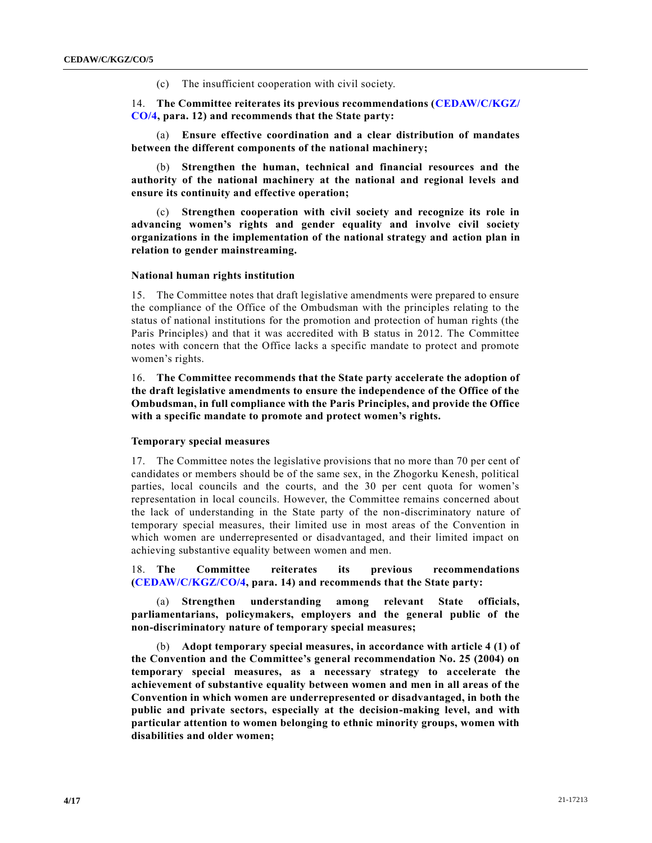(c) The insufficient cooperation with civil society.

14. **The Committee reiterates its previous recommendations [\(CEDAW/C/KGZ/](https://undocs.org/en/CEDAW/C/KGZ/CO/4) [CO/4,](https://undocs.org/en/CEDAW/C/KGZ/CO/4) para. 12) and recommends that the State party:**

(a) **Ensure effective coordination and a clear distribution of mandates between the different components of the national machinery;**

(b) **Strengthen the human, technical and financial resources and the authority of the national machinery at the national and regional levels and ensure its continuity and effective operation;**

(c) **Strengthen cooperation with civil society and recognize its role in advancing women's rights and gender equality and involve civil society organizations in the implementation of the national strategy and action plan in relation to gender mainstreaming.**

#### **National human rights institution**

15. The Committee notes that draft legislative amendments were prepared to ensure the compliance of the Office of the Ombudsman with the principles relating to the status of national institutions for the promotion and protection of human rights (the Paris Principles) and that it was accredited with B status in 2012. The Committee notes with concern that the Office lacks a specific mandate to protect and promote women's rights.

16. **The Committee recommends that the State party accelerate the adoption of the draft legislative amendments to ensure the independence of the Office of the Ombudsman, in full compliance with the Paris Principles, and provide the Office with a specific mandate to promote and protect women's rights.**

#### **Temporary special measures**

17. The Committee notes the legislative provisions that no more than 70 per cent of candidates or members should be of the same sex, in the Zhogorku Kenesh, political parties, local councils and the courts, and the 30 per cent quota for women's representation in local councils. However, the Committee remains concerned about the lack of understanding in the State party of the non-discriminatory nature of temporary special measures, their limited use in most areas of the Convention in which women are underrepresented or disadvantaged, and their limited impact on achieving substantive equality between women and men.

18. **The Committee reiterates its previous recommendations [\(CEDAW/C/KGZ/CO/4,](https://undocs.org/en/CEDAW/C/KGZ/CO/4) para. 14) and recommends that the State party:**

(a) **Strengthen understanding among relevant State officials, parliamentarians, policymakers, employers and the general public of the non-discriminatory nature of temporary special measures;**

(b) **Adopt temporary special measures, in accordance with article 4 (1) of the Convention and the Committee's general recommendation No. 25 (2004) on temporary special measures, as a necessary strategy to accelerate the achievement of substantive equality between women and men in all areas of the Convention in which women are underrepresented or disadvantaged, in both the public and private sectors, especially at the decision-making level, and with particular attention to women belonging to ethnic minority groups, women with disabilities and older women;**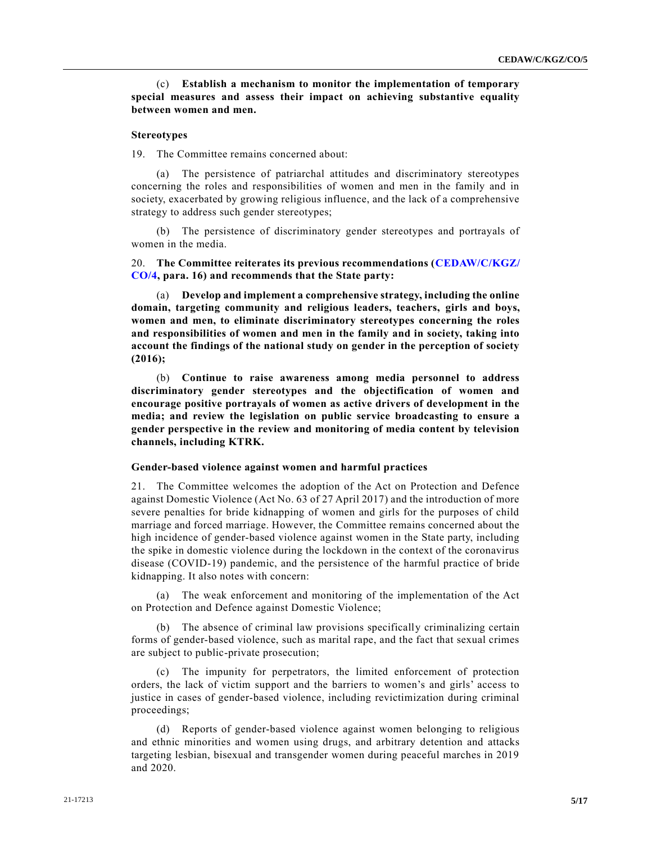(c) **Establish a mechanism to monitor the implementation of temporary special measures and assess their impact on achieving substantive equality between women and men.**

#### **Stereotypes**

19. The Committee remains concerned about:

(a) The persistence of patriarchal attitudes and discriminatory stereotypes concerning the roles and responsibilities of women and men in the family and in society, exacerbated by growing religious influence, and the lack of a comprehensive strategy to address such gender stereotypes;

(b) The persistence of discriminatory gender stereotypes and portrayals of women in the media.

20. **The Committee reiterates its previous recommendations [\(CEDAW/C/KGZ/](https://undocs.org/en/CEDAW/C/KGZ/CO/4) [CO/4,](https://undocs.org/en/CEDAW/C/KGZ/CO/4) para. 16) and recommends that the State party:**

(a) **Develop and implement a comprehensive strategy, including the online domain, targeting community and religious leaders, teachers, girls and boys, women and men, to eliminate discriminatory stereotypes concerning the roles and responsibilities of women and men in the family and in society, taking into account the findings of the national study on gender in the perception of society (2016);**

(b) **Continue to raise awareness among media personnel to address discriminatory gender stereotypes and the objectification of women and encourage positive portrayals of women as active drivers of development in the media; and review the legislation on public service broadcasting to ensure a gender perspective in the review and monitoring of media content by television channels, including KTRK.**

#### **Gender-based violence against women and harmful practices**

21. The Committee welcomes the adoption of the Act on Protection and Defence against Domestic Violence (Act No. 63 of 27 April 2017) and the introduction of more severe penalties for bride kidnapping of women and girls for the purposes of child marriage and forced marriage. However, the Committee remains concerned about the high incidence of gender-based violence against women in the State party, including the spike in domestic violence during the lockdown in the context of the coronavirus disease (COVID-19) pandemic, and the persistence of the harmful practice of bride kidnapping. It also notes with concern:

The weak enforcement and monitoring of the implementation of the Act on Protection and Defence against Domestic Violence;

(b) The absence of criminal law provisions specifically criminalizing certain forms of gender-based violence, such as marital rape, and the fact that sexual crimes are subject to public-private prosecution;

(c) The impunity for perpetrators, the limited enforcement of protection orders, the lack of victim support and the barriers to women's and girls' access to justice in cases of gender-based violence, including revictimization during criminal proceedings;

(d) Reports of gender-based violence against women belonging to religious and ethnic minorities and women using drugs, and arbitrary detention and attacks targeting lesbian, bisexual and transgender women during peaceful marches in 2019 and 2020.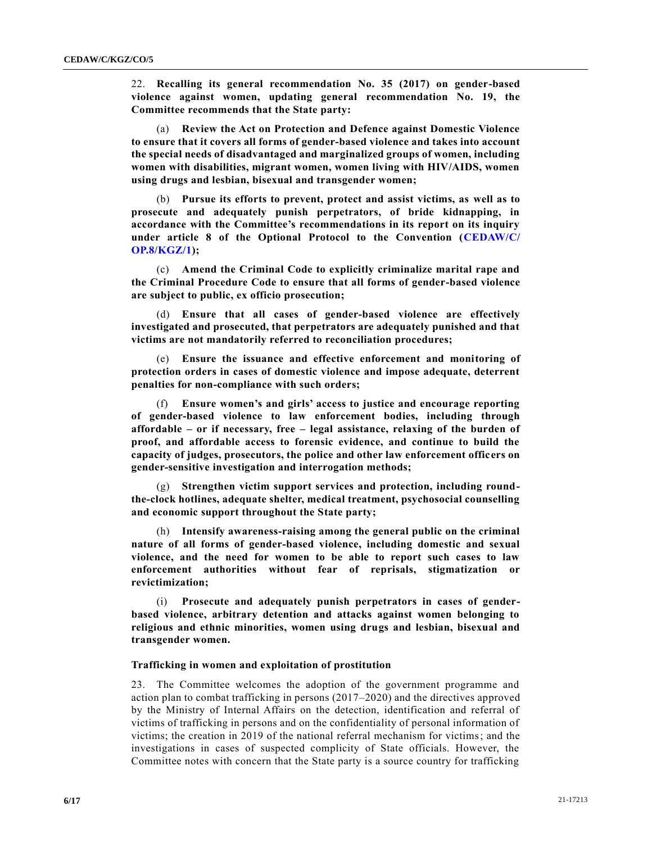22. **Recalling its general recommendation No. 35 (2017) on gender-based violence against women, updating general recommendation No. 19, the Committee recommends that the State party:**

(a) **Review the Act on Protection and Defence against Domestic Violence to ensure that it covers all forms of gender-based violence and takes into account the special needs of disadvantaged and marginalized groups of women, including women with disabilities, migrant women, women living with HIV/AIDS, women using drugs and lesbian, bisexual and transgender women;**

(b) **Pursue its efforts to prevent, protect and assist victims, as well as to prosecute and adequately punish perpetrators, of bride kidnapping, in accordance with the Committee's recommendations in its report on its inquiry under article 8 of the Optional Protocol to the Convention [\(CEDAW/C/](https://undocs.org/en/CEDAW/C/OP.8/KGZ/1) [OP.8/KGZ/1\)](https://undocs.org/en/CEDAW/C/OP.8/KGZ/1);**

(c) **Amend the Criminal Code to explicitly criminalize marital rape and the Criminal Procedure Code to ensure that all forms of gender-based violence are subject to public, ex officio prosecution;**

(d) **Ensure that all cases of gender-based violence are effectively investigated and prosecuted, that perpetrators are adequately punished and that victims are not mandatorily referred to reconciliation procedures;**

(e) **Ensure the issuance and effective enforcement and monitoring of protection orders in cases of domestic violence and impose adequate, deterrent penalties for non-compliance with such orders;**

(f) **Ensure women's and girls' access to justice and encourage reporting of gender-based violence to law enforcement bodies, including through affordable – or if necessary, free – legal assistance, relaxing of the burden of proof, and affordable access to forensic evidence, and continue to build the capacity of judges, prosecutors, the police and other law enforcement officers on gender-sensitive investigation and interrogation methods;**

(g) **Strengthen victim support services and protection, including roundthe-clock hotlines, adequate shelter, medical treatment, psychosocial counselling and economic support throughout the State party;**

(h) **Intensify awareness-raising among the general public on the criminal nature of all forms of gender-based violence, including domestic and sexual violence, and the need for women to be able to report such cases to law enforcement authorities without fear of reprisals, stigmatization or revictimization;**

(i) **Prosecute and adequately punish perpetrators in cases of genderbased violence, arbitrary detention and attacks against women belonging to religious and ethnic minorities, women using drugs and lesbian, bisexual and transgender women.**

#### **Trafficking in women and exploitation of prostitution**

23. The Committee welcomes the adoption of the government programme and action plan to combat trafficking in persons (2017–2020) and the directives approved by the Ministry of Internal Affairs on the detection, identification and referral of victims of trafficking in persons and on the confidentiality of personal information of victims; the creation in 2019 of the national referral mechanism for victims; and the investigations in cases of suspected complicity of State officials. However, the Committee notes with concern that the State party is a source country for trafficking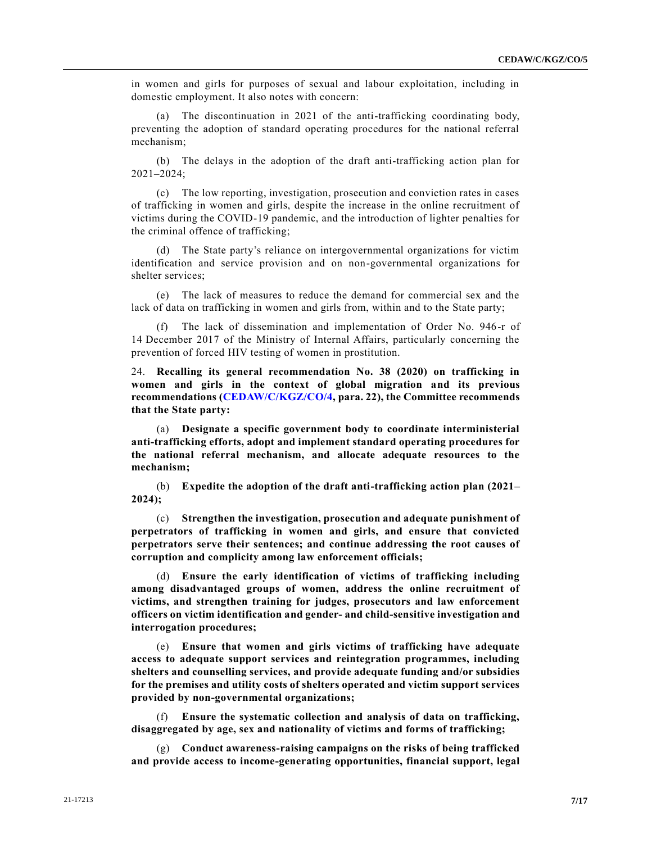in women and girls for purposes of sexual and labour exploitation, including in domestic employment. It also notes with concern:

(a) The discontinuation in 2021 of the anti-trafficking coordinating body, preventing the adoption of standard operating procedures for the national referral mechanism;

(b) The delays in the adoption of the draft anti-trafficking action plan for 2021–2024;

(c) The low reporting, investigation, prosecution and conviction rates in cases of trafficking in women and girls, despite the increase in the online recruitment of victims during the COVID-19 pandemic, and the introduction of lighter penalties for the criminal offence of trafficking;

(d) The State party's reliance on intergovernmental organizations for victim identification and service provision and on non-governmental organizations for shelter services;

(e) The lack of measures to reduce the demand for commercial sex and the lack of data on trafficking in women and girls from, within and to the State party;

(f) The lack of dissemination and implementation of Order No. 946-r of 14 December 2017 of the Ministry of Internal Affairs, particularly concerning the prevention of forced HIV testing of women in prostitution.

24. **Recalling its general recommendation No. 38 (2020) on trafficking in women and girls in the context of global migration and its previous recommendations [\(CEDAW/C/KGZ/CO/4,](https://undocs.org/en/CEDAW/C/KGZ/CO/4) para. 22), the Committee recommends that the State party:**

(a) **Designate a specific government body to coordinate interministerial anti-trafficking efforts, adopt and implement standard operating procedures for the national referral mechanism, and allocate adequate resources to the mechanism;**

(b) **Expedite the adoption of the draft anti-trafficking action plan (2021– 2024);**

(c) **Strengthen the investigation, prosecution and adequate punishment of perpetrators of trafficking in women and girls, and ensure that convicted perpetrators serve their sentences; and continue addressing the root causes of corruption and complicity among law enforcement officials;**

(d) **Ensure the early identification of victims of trafficking including among disadvantaged groups of women, address the online recruitment of victims, and strengthen training for judges, prosecutors and law enforcement officers on victim identification and gender- and child-sensitive investigation and interrogation procedures;**

(e) **Ensure that women and girls victims of trafficking have adequate access to adequate support services and reintegration programmes, including shelters and counselling services, and provide adequate funding and/or subsidies for the premises and utility costs of shelters operated and victim support services provided by non-governmental organizations;**

Ensure the systematic collection and analysis of data on trafficking, **disaggregated by age, sex and nationality of victims and forms of trafficking;**

(g) **Conduct awareness-raising campaigns on the risks of being trafficked and provide access to income-generating opportunities, financial support, legal**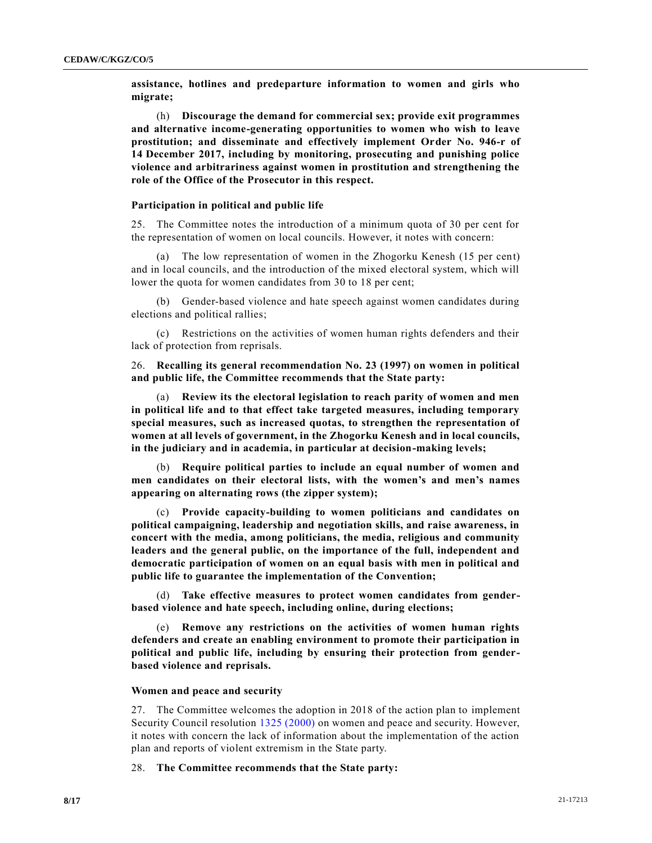**assistance, hotlines and predeparture information to women and girls who migrate;**

(h) **Discourage the demand for commercial sex; provide exit programmes and alternative income-generating opportunities to women who wish to leave prostitution; and disseminate and effectively implement Order No. 946-r of 14 December 2017, including by monitoring, prosecuting and punishing police violence and arbitrariness against women in prostitution and strengthening the role of the Office of the Prosecutor in this respect.**

#### **Participation in political and public life**

25. The Committee notes the introduction of a minimum quota of 30 per cent for the representation of women on local councils. However, it notes with concern:

(a) The low representation of women in the Zhogorku Kenesh (15 per cent) and in local councils, and the introduction of the mixed electoral system, which will lower the quota for women candidates from 30 to 18 per cent;

(b) Gender-based violence and hate speech against women candidates during elections and political rallies;

(c) Restrictions on the activities of women human rights defenders and their lack of protection from reprisals.

26. **Recalling its general recommendation No. 23 (1997) on women in political and public life, the Committee recommends that the State party:**

(a) **Review its the electoral legislation to reach parity of women and men in political life and to that effect take targeted measures, including temporary special measures, such as increased quotas, to strengthen the representation of women at all levels of government, in the Zhogorku Kenesh and in local councils, in the judiciary and in academia, in particular at decision-making levels;**

(b) **Require political parties to include an equal number of women and men candidates on their electoral lists, with the women's and men's names appearing on alternating rows (the zipper system);**

(c) **Provide capacity-building to women politicians and candidates on political campaigning, leadership and negotiation skills, and raise awareness, in concert with the media, among politicians, the media, religious and community leaders and the general public, on the importance of the full, independent and democratic participation of women on an equal basis with men in political and public life to guarantee the implementation of the Convention;**

(d) **Take effective measures to protect women candidates from genderbased violence and hate speech, including online, during elections;**

(e) **Remove any restrictions on the activities of women human rights defenders and create an enabling environment to promote their participation in political and public life, including by ensuring their protection from genderbased violence and reprisals.**

#### **Women and peace and security**

27. The Committee welcomes the adoption in 2018 of the action plan to implement Security Council resolution [1325 \(2000\)](https://undocs.org/en/S/RES/1325(2000)) on women and peace and security. However, it notes with concern the lack of information about the implementation of the action plan and reports of violent extremism in the State party.

28. **The Committee recommends that the State party:**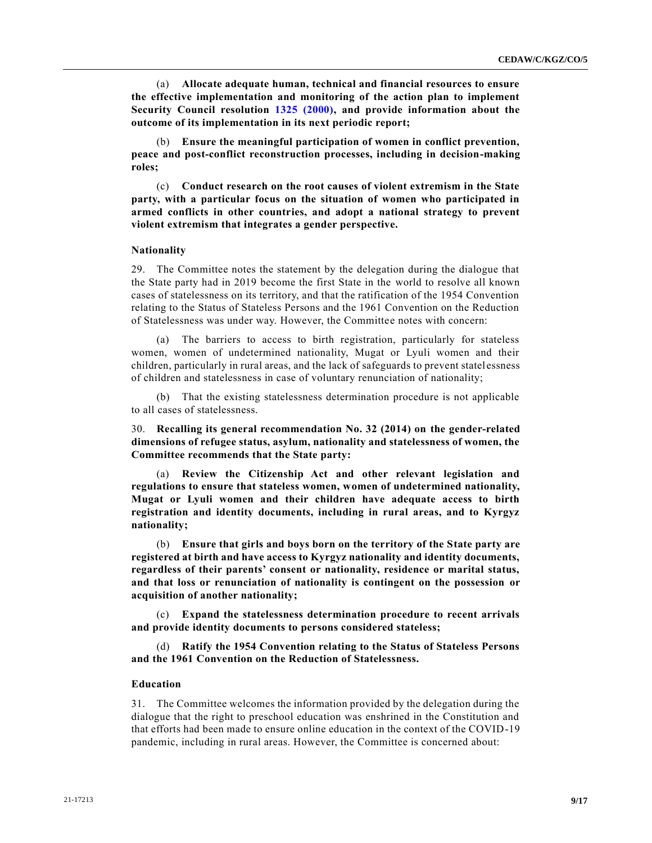(a) **Allocate adequate human, technical and financial resources to ensure the effective implementation and monitoring of the action plan to implement Security Council resolution [1325 \(2000\),](https://undocs.org/en/S/RES/1325(2000)) and provide information about the outcome of its implementation in its next periodic report;**

(b) **Ensure the meaningful participation of women in conflict prevention, peace and post-conflict reconstruction processes, including in decision-making roles;**

(c) **Conduct research on the root causes of violent extremism in the State party, with a particular focus on the situation of women who participated in armed conflicts in other countries, and adopt a national strategy to prevent violent extremism that integrates a gender perspective.**

#### **Nationality**

29. The Committee notes the statement by the delegation during the dialogue that the State party had in 2019 become the first State in the world to resolve all known cases of statelessness on its territory, and that the ratification of the 1954 Convention relating to the Status of Stateless Persons and the 1961 Convention on the Reduction of Statelessness was under way. However, the Committee notes with concern:

(a) The barriers to access to birth registration, particularly for stateless women, women of undetermined nationality, Mugat or Lyuli women and their children, particularly in rural areas, and the lack of safeguards to prevent statel essness of children and statelessness in case of voluntary renunciation of nationality;

(b) That the existing statelessness determination procedure is not applicable to all cases of statelessness.

30. **Recalling its general recommendation No. 32 (2014) on the gender-related dimensions of refugee status, asylum, nationality and statelessness of women, the Committee recommends that the State party:**

(a) **Review the Citizenship Act and other relevant legislation and regulations to ensure that stateless women, women of undetermined nationality, Mugat or Lyuli women and their children have adequate access to birth registration and identity documents, including in rural areas, and to Kyrgyz nationality;**

(b) **Ensure that girls and boys born on the territory of the State party are registered at birth and have access to Kyrgyz nationality and identity documents, regardless of their parents' consent or nationality, residence or marital status, and that loss or renunciation of nationality is contingent on the possession or acquisition of another nationality;**

**Expand the statelessness determination procedure to recent arrivals and provide identity documents to persons considered stateless;**

(d) **Ratify the 1954 Convention relating to the Status of Stateless Persons and the 1961 Convention on the Reduction of Statelessness.**

#### **Education**

31. The Committee welcomes the information provided by the delegation during the dialogue that the right to preschool education was enshrined in the Constitution and that efforts had been made to ensure online education in the context of the COVID-19 pandemic, including in rural areas. However, the Committee is concerned about: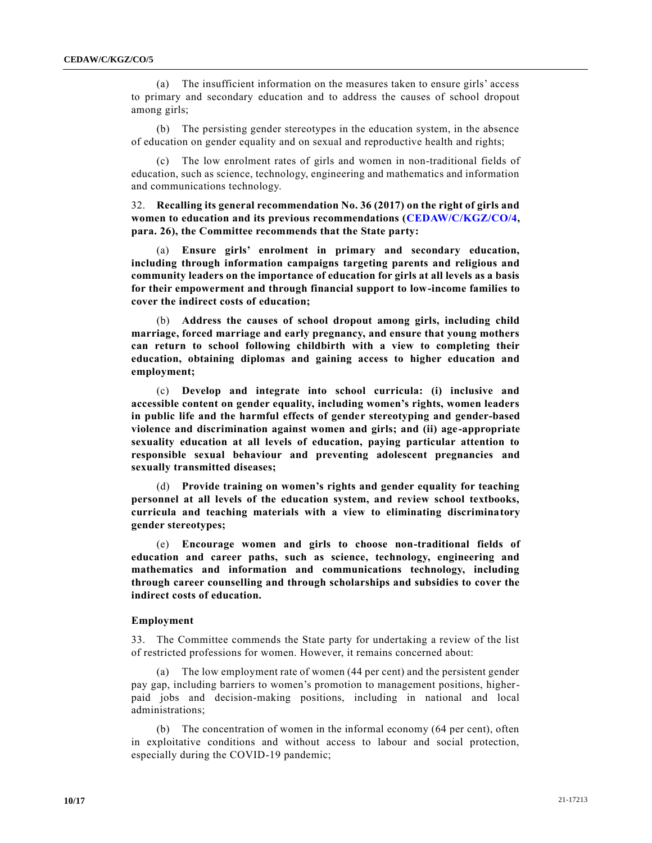(a) The insufficient information on the measures taken to ensure girls' access to primary and secondary education and to address the causes of school dropout among girls;

(b) The persisting gender stereotypes in the education system, in the absence of education on gender equality and on sexual and reproductive health and rights;

(c) The low enrolment rates of girls and women in non-traditional fields of education, such as science, technology, engineering and mathematics and information and communications technology.

32. **Recalling its general recommendation No. 36 (2017) on the right of girls and women to education and its previous recommendations [\(CEDAW/C/KGZ/CO/4,](https://undocs.org/en/CEDAW/C/KGZ/CO/4) para. 26), the Committee recommends that the State party:**

(a) **Ensure girls' enrolment in primary and secondary education, including through information campaigns targeting parents and religious and community leaders on the importance of education for girls at all levels as a basis for their empowerment and through financial support to low-income families to cover the indirect costs of education;**

(b) **Address the causes of school dropout among girls, including child marriage, forced marriage and early pregnancy, and ensure that young mothers can return to school following childbirth with a view to completing their education, obtaining diplomas and gaining access to higher education and employment;**

(c) **Develop and integrate into school curricula: (i) inclusive and accessible content on gender equality, including women's rights, women leaders in public life and the harmful effects of gender stereotyping and gender-based violence and discrimination against women and girls; and (ii) age-appropriate sexuality education at all levels of education, paying particular attention to responsible sexual behaviour and preventing adolescent pregnancies and sexually transmitted diseases;**

(d) **Provide training on women's rights and gender equality for teaching personnel at all levels of the education system, and review school textbooks, curricula and teaching materials with a view to eliminating discriminatory gender stereotypes;**

(e) **Encourage women and girls to choose non-traditional fields of education and career paths, such as science, technology, engineering and mathematics and information and communications technology, including through career counselling and through scholarships and subsidies to cover the indirect costs of education.**

#### **Employment**

33. The Committee commends the State party for undertaking a review of the list of restricted professions for women. However, it remains concerned about:

(a) The low employment rate of women (44 per cent) and the persistent gender pay gap, including barriers to women's promotion to management positions, higherpaid jobs and decision-making positions, including in national and local administrations;

(b) The concentration of women in the informal economy (64 per cent), often in exploitative conditions and without access to labour and social protection, especially during the COVID-19 pandemic;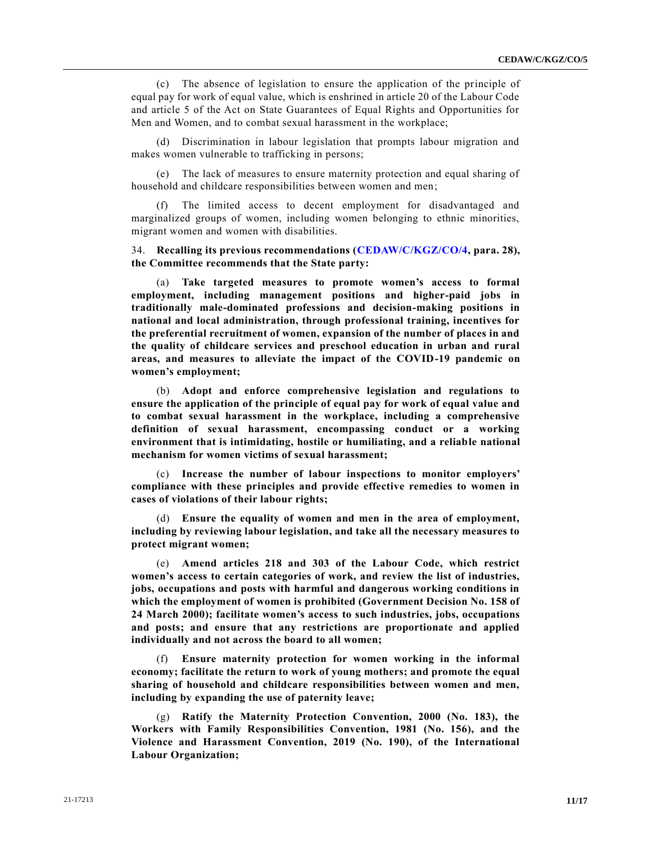(c) The absence of legislation to ensure the application of the principle of equal pay for work of equal value, which is enshrined in article 20 of the Labour Code and article 5 of the Act on State Guarantees of Equal Rights and Opportunities for Men and Women, and to combat sexual harassment in the workplace;

(d) Discrimination in labour legislation that prompts labour migration and makes women vulnerable to trafficking in persons;

(e) The lack of measures to ensure maternity protection and equal sharing of household and childcare responsibilities between women and men;

(f) The limited access to decent employment for disadvantaged and marginalized groups of women, including women belonging to ethnic minorities, migrant women and women with disabilities.

34. **Recalling its previous recommendations [\(CEDAW/C/KGZ/CO/4,](https://undocs.org/en/CEDAW/C/KGZ/CO/4) para. 28), the Committee recommends that the State party:**

(a) **Take targeted measures to promote women's access to formal employment, including management positions and higher-paid jobs in traditionally male-dominated professions and decision-making positions in national and local administration, through professional training, incentives for the preferential recruitment of women, expansion of the number of places in and the quality of childcare services and preschool education in urban and rural areas, and measures to alleviate the impact of the COVID-19 pandemic on women's employment;**

(b) **Adopt and enforce comprehensive legislation and regulations to ensure the application of the principle of equal pay for work of equal value and to combat sexual harassment in the workplace, including a comprehensive definition of sexual harassment, encompassing conduct or a working environment that is intimidating, hostile or humiliating, and a reliable national mechanism for women victims of sexual harassment;**

(c) **Increase the number of labour inspections to monitor employers' compliance with these principles and provide effective remedies to women in cases of violations of their labour rights;**

(d) **Ensure the equality of women and men in the area of employment, including by reviewing labour legislation, and take all the necessary measures to protect migrant women;**

(e) **Amend articles 218 and 303 of the Labour Code, which restrict women's access to certain categories of work, and review the list of industries, jobs, occupations and posts with harmful and dangerous working conditions in which the employment of women is prohibited (Government Decision No. 158 of 24 March 2000); facilitate women's access to such industries, jobs, occupations and posts; and ensure that any restrictions are proportionate and applied individually and not across the board to all women;**

(f) **Ensure maternity protection for women working in the informal economy; facilitate the return to work of young mothers; and promote the equal sharing of household and childcare responsibilities between women and men, including by expanding the use of paternity leave;**

(g) **Ratify the Maternity Protection Convention, 2000 (No. 183), the Workers with Family Responsibilities Convention, 1981 (No. 156), and the Violence and Harassment Convention, 2019 (No. 190), of the International Labour Organization;**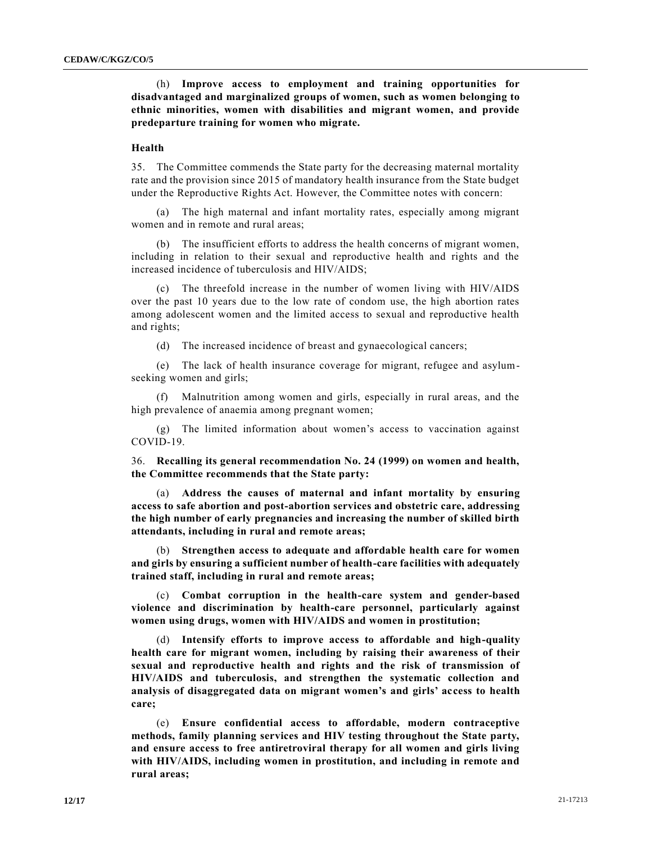(h) **Improve access to employment and training opportunities for disadvantaged and marginalized groups of women, such as women belonging to ethnic minorities, women with disabilities and migrant women, and provide predeparture training for women who migrate.**

#### **Health**

35. The Committee commends the State party for the decreasing maternal mortality rate and the provision since 2015 of mandatory health insurance from the State budget under the Reproductive Rights Act. However, the Committee notes with concern:

(a) The high maternal and infant mortality rates, especially among migrant women and in remote and rural areas;

(b) The insufficient efforts to address the health concerns of migrant women, including in relation to their sexual and reproductive health and rights and the increased incidence of tuberculosis and HIV/AIDS;

The threefold increase in the number of women living with HIV/AIDS over the past 10 years due to the low rate of condom use, the high abortion rates among adolescent women and the limited access to sexual and reproductive health and rights;

(d) The increased incidence of breast and gynaecological cancers;

(e) The lack of health insurance coverage for migrant, refugee and asylumseeking women and girls;

(f) Malnutrition among women and girls, especially in rural areas, and the high prevalence of anaemia among pregnant women;

(g) The limited information about women's access to vaccination against COVID-19.

36. **Recalling its general recommendation No. 24 (1999) on women and health, the Committee recommends that the State party:**

(a) **Address the causes of maternal and infant mortality by ensuring access to safe abortion and post-abortion services and obstetric care, addressing the high number of early pregnancies and increasing the number of skilled birth attendants, including in rural and remote areas;**

(b) **Strengthen access to adequate and affordable health care for women and girls by ensuring a sufficient number of health-care facilities with adequately trained staff, including in rural and remote areas;**

(c) **Combat corruption in the health-care system and gender-based violence and discrimination by health-care personnel, particularly against women using drugs, women with HIV/AIDS and women in prostitution;**

(d) **Intensify efforts to improve access to affordable and high-quality health care for migrant women, including by raising their awareness of their sexual and reproductive health and rights and the risk of transmission of HIV/AIDS and tuberculosis, and strengthen the systematic collection and analysis of disaggregated data on migrant women's and girls' access to health care;**

(e) **Ensure confidential access to affordable, modern contraceptive methods, family planning services and HIV testing throughout the State party, and ensure access to free antiretroviral therapy for all women and girls living with HIV/AIDS, including women in prostitution, and including in remote and rural areas;**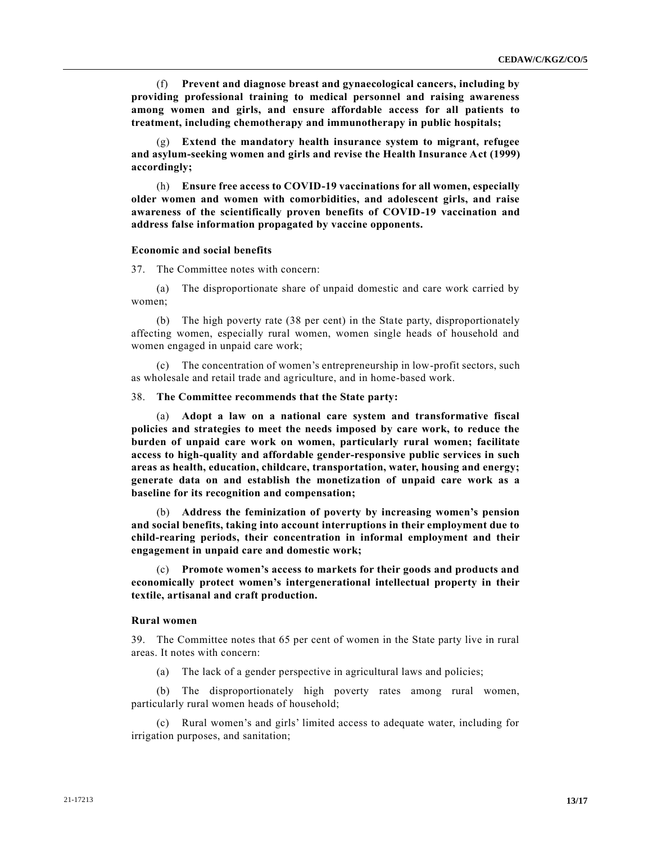(f) **Prevent and diagnose breast and gynaecological cancers, including by providing professional training to medical personnel and raising awareness among women and girls, and ensure affordable access for all patients to treatment, including chemotherapy and immunotherapy in public hospitals;**

(g) **Extend the mandatory health insurance system to migrant, refugee and asylum-seeking women and girls and revise the Health Insurance Act (1999) accordingly;**

(h) **Ensure free access to COVID-19 vaccinations for all women, especially older women and women with comorbidities, and adolescent girls, and raise awareness of the scientifically proven benefits of COVID-19 vaccination and address false information propagated by vaccine opponents.**

#### **Economic and social benefits**

37. The Committee notes with concern:

(a) The disproportionate share of unpaid domestic and care work carried by women;

(b) The high poverty rate (38 per cent) in the State party, disproportionately affecting women, especially rural women, women single heads of household and women engaged in unpaid care work;

(c) The concentration of women's entrepreneurship in low-profit sectors, such as wholesale and retail trade and agriculture, and in home-based work.

38. **The Committee recommends that the State party:**

(a) **Adopt a law on a national care system and transformative fiscal policies and strategies to meet the needs imposed by care work, to reduce the burden of unpaid care work on women, particularly rural women; facilitate access to high-quality and affordable gender-responsive public services in such areas as health, education, childcare, transportation, water, housing and energy; generate data on and establish the monetization of unpaid care work as a baseline for its recognition and compensation;**

(b) **Address the feminization of poverty by increasing women's pension and social benefits, taking into account interruptions in their employment due to child-rearing periods, their concentration in informal employment and their engagement in unpaid care and domestic work;**

(c) **Promote women's access to markets for their goods and products and economically protect women's intergenerational intellectual property in their textile, artisanal and craft production.**

#### **Rural women**

39. The Committee notes that 65 per cent of women in the State party live in rural areas. It notes with concern:

(a) The lack of a gender perspective in agricultural laws and policies;

(b) The disproportionately high poverty rates among rural women, particularly rural women heads of household;

(c) Rural women's and girls' limited access to adequate water, including for irrigation purposes, and sanitation;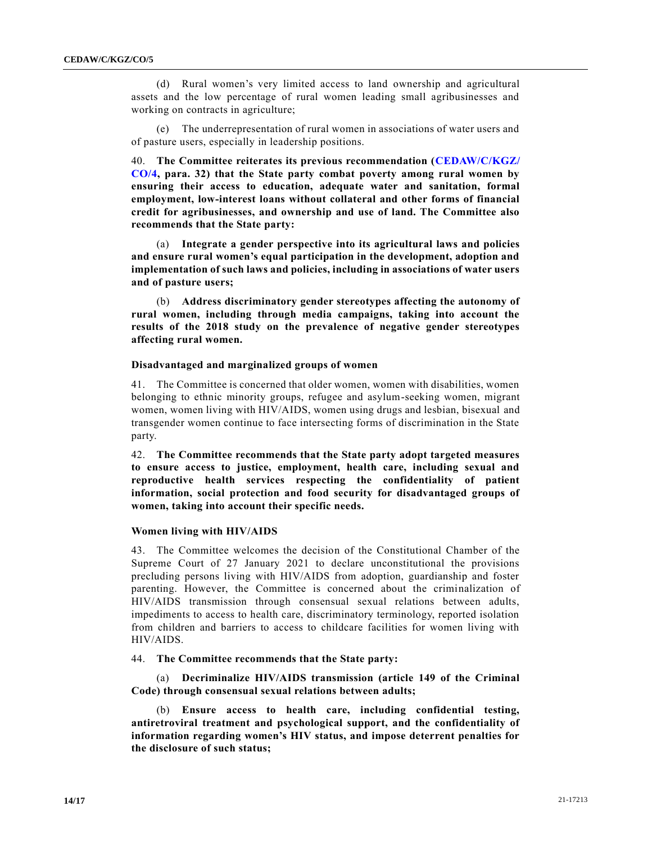(d) Rural women's very limited access to land ownership and agricultural assets and the low percentage of rural women leading small agribusinesses and working on contracts in agriculture;

(e) The underrepresentation of rural women in associations of water users and of pasture users, especially in leadership positions.

40. **The Committee reiterates its previous recommendation [\(CEDAW/C/KGZ/](https://undocs.org/en/CEDAW/C/KGZ/CO/4) [CO/4,](https://undocs.org/en/CEDAW/C/KGZ/CO/4) para. 32) that the State party combat poverty among rural women by ensuring their access to education, adequate water and sanitation, formal employment, low-interest loans without collateral and other forms of financial credit for agribusinesses, and ownership and use of land. The Committee also recommends that the State party:**

(a) **Integrate a gender perspective into its agricultural laws and policies and ensure rural women's equal participation in the development, adoption and implementation of such laws and policies, including in associations of water users and of pasture users;**

(b) **Address discriminatory gender stereotypes affecting the autonomy of rural women, including through media campaigns, taking into account the results of the 2018 study on the prevalence of negative gender stereotypes affecting rural women.**

#### **Disadvantaged and marginalized groups of women**

41. The Committee is concerned that older women, women with disabilities, women belonging to ethnic minority groups, refugee and asylum-seeking women, migrant women, women living with HIV/AIDS, women using drugs and lesbian, bisexual and transgender women continue to face intersecting forms of discrimination in the State party.

42. **The Committee recommends that the State party adopt targeted measures to ensure access to justice, employment, health care, including sexual and reproductive health services respecting the confidentiality of patient information, social protection and food security for disadvantaged groups of women, taking into account their specific needs.**

#### **Women living with HIV/AIDS**

43. The Committee welcomes the decision of the Constitutional Chamber of the Supreme Court of 27 January 2021 to declare unconstitutional the provisions precluding persons living with HIV/AIDS from adoption, guardianship and foster parenting. However, the Committee is concerned about the criminalization of HIV/AIDS transmission through consensual sexual relations between adults, impediments to access to health care, discriminatory terminology, reported isolation from children and barriers to access to childcare facilities for women living with HIV/AIDS.

44. **The Committee recommends that the State party:**

(a) **Decriminalize HIV/AIDS transmission (article 149 of the Criminal Code) through consensual sexual relations between adults;**

(b) **Ensure access to health care, including confidential testing, antiretroviral treatment and psychological support, and the confidentiality of information regarding women's HIV status, and impose deterrent penalties for the disclosure of such status;**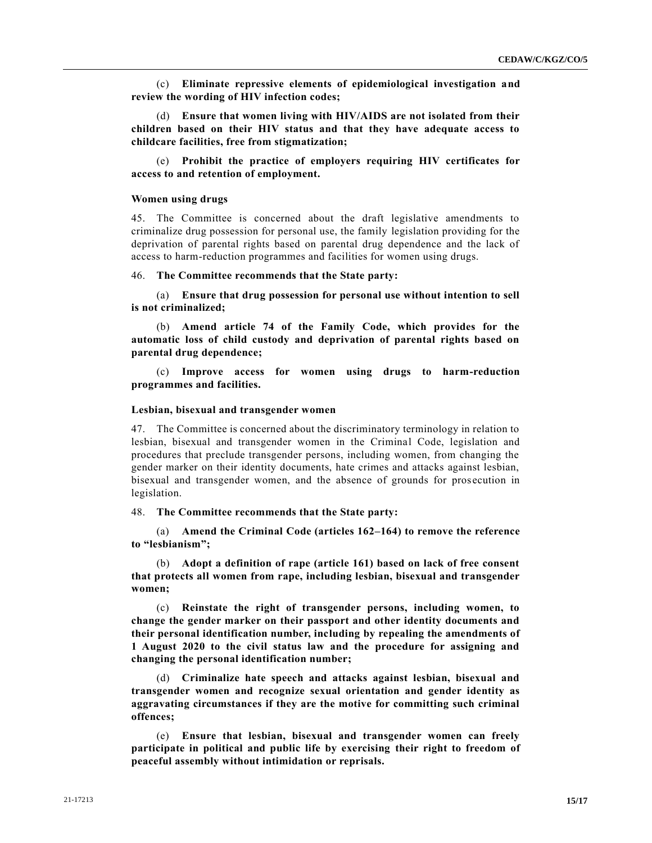(c) **Eliminate repressive elements of epidemiological investigation and review the wording of HIV infection codes;**

(d) **Ensure that women living with HIV/AIDS are not isolated from their children based on their HIV status and that they have adequate access to childcare facilities, free from stigmatization;**

(e) **Prohibit the practice of employers requiring HIV certificates for access to and retention of employment.**

#### **Women using drugs**

45. The Committee is concerned about the draft legislative amendments to criminalize drug possession for personal use, the family legislation providing for the deprivation of parental rights based on parental drug dependence and the lack of access to harm-reduction programmes and facilities for women using drugs.

#### 46. **The Committee recommends that the State party:**

(a) **Ensure that drug possession for personal use without intention to sell is not criminalized;**

(b) **Amend article 74 of the Family Code, which provides for the automatic loss of child custody and deprivation of parental rights based on parental drug dependence;**

(c) **Improve access for women using drugs to harm-reduction programmes and facilities.**

#### **Lesbian, bisexual and transgender women**

47. The Committee is concerned about the discriminatory terminology in relation to lesbian, bisexual and transgender women in the Criminal Code, legislation and procedures that preclude transgender persons, including women, from changing the gender marker on their identity documents, hate crimes and attacks against lesbian, bisexual and transgender women, and the absence of grounds for pros ecution in legislation.

48. **The Committee recommends that the State party:**

(a) **Amend the Criminal Code (articles 162–164) to remove the reference to "lesbianism";**

(b) **Adopt a definition of rape (article 161) based on lack of free consent that protects all women from rape, including lesbian, bisexual and transgender women;**

(c) **Reinstate the right of transgender persons, including women, to change the gender marker on their passport and other identity documents and their personal identification number, including by repealing the amendments of 1 August 2020 to the civil status law and the procedure for assigning and changing the personal identification number;**

(d) **Criminalize hate speech and attacks against lesbian, bisexual and transgender women and recognize sexual orientation and gender identity as aggravating circumstances if they are the motive for committing such criminal offences;**

(e) **Ensure that lesbian, bisexual and transgender women can freely participate in political and public life by exercising their right to freedom of peaceful assembly without intimidation or reprisals.**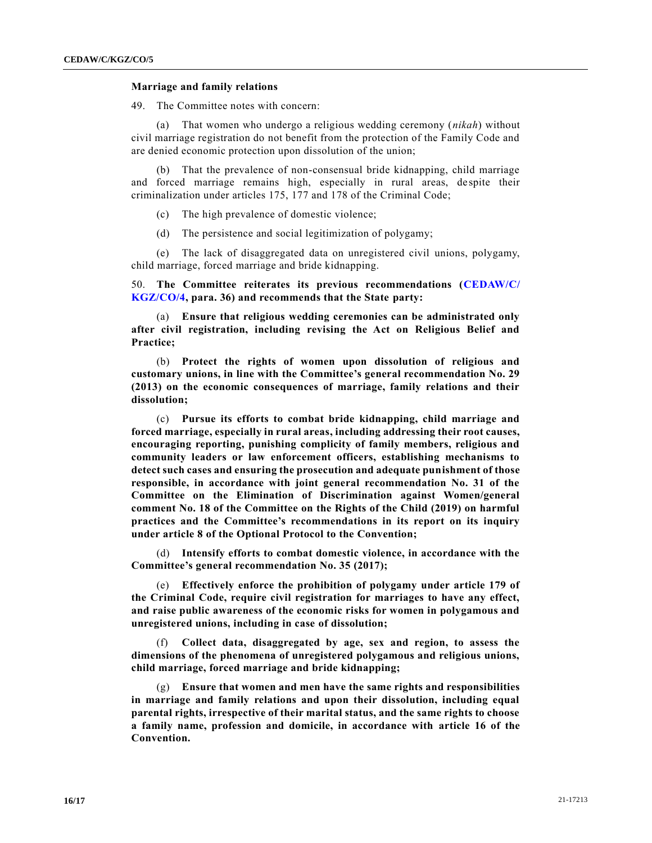#### **Marriage and family relations**

49. The Committee notes with concern:

(a) That women who undergo a religious wedding ceremony (*nikah*) without civil marriage registration do not benefit from the protection of the Family Code and are denied economic protection upon dissolution of the union;

(b) That the prevalence of non-consensual bride kidnapping, child marriage and forced marriage remains high, especially in rural areas, de spite their criminalization under articles 175, 177 and 178 of the Criminal Code;

(c) The high prevalence of domestic violence;

(d) The persistence and social legitimization of polygamy;

(e) The lack of disaggregated data on unregistered civil unions, polygamy, child marriage, forced marriage and bride kidnapping.

50. **The Committee reiterates its previous recommendations [\(CEDAW/C/](https://undocs.org/en/CEDAW/C/KGZ/CO/4) [KGZ/CO/4,](https://undocs.org/en/CEDAW/C/KGZ/CO/4) para. 36) and recommends that the State party:**

(a) **Ensure that religious wedding ceremonies can be administrated only after civil registration, including revising the Act on Religious Belief and Practice;**

(b) **Protect the rights of women upon dissolution of religious and customary unions, in line with the Committee's general recommendation No. 29 (2013) on the economic consequences of marriage, family relations and their dissolution;**

(c) **Pursue its efforts to combat bride kidnapping, child marriage and forced marriage, especially in rural areas, including addressing their root causes, encouraging reporting, punishing complicity of family members, religious and community leaders or law enforcement officers, establishing mechanisms to detect such cases and ensuring the prosecution and adequate punishment of those responsible, in accordance with joint general recommendation No. 31 of the Committee on the Elimination of Discrimination against Women/general comment No. 18 of the Committee on the Rights of the Child (2019) on harmful practices and the Committee's recommendations in its report on its inquiry under article 8 of the Optional Protocol to the Convention;**

(d) **Intensify efforts to combat domestic violence, in accordance with the Committee's general recommendation No. 35 (2017);**

(e) **Effectively enforce the prohibition of polygamy under article 179 of the Criminal Code, require civil registration for marriages to have any effect, and raise public awareness of the economic risks for women in polygamous and unregistered unions, including in case of dissolution;**

(f) **Collect data, disaggregated by age, sex and region, to assess the dimensions of the phenomena of unregistered polygamous and religious unions, child marriage, forced marriage and bride kidnapping;**

(g) **Ensure that women and men have the same rights and responsibilities in marriage and family relations and upon their dissolution, including equal parental rights, irrespective of their marital status, and the same rights to choose a family name, profession and domicile, in accordance with article 16 of the Convention.**